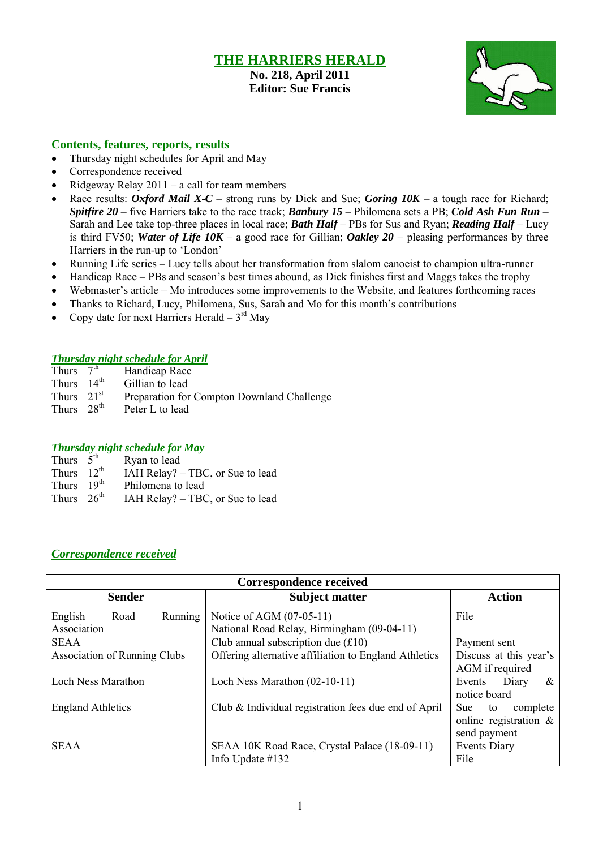## **THE HARRIERS HERALD**

**No. 218, April 2011 Editor: Sue Francis**



#### **Contents, features, reports, results**

- Thursday night schedules for April and May
- Correspondence received
- Ridgeway Relay  $2011 a$  call for team members
- Race results: *Oxford Mail X-C* strong runs by Dick and Sue; *Goring 10K* a tough race for Richard; *Spitfire 20* – five Harriers take to the race track; *Banbury 15* – Philomena sets a PB; *Cold Ash Fun Run* – Sarah and Lee take top-three places in local race; *Bath Half* – PBs for Sus and Ryan; *Reading Half* – Lucy is third FV50; *Water of Life 10K* – a good race for Gillian; *Oakley 20* – pleasing performances by three Harriers in the run-up to 'London'
- Running Life series Lucy tells about her transformation from slalom canoeist to champion ultra-runner
- Handicap Race PBs and season's best times abound, as Dick finishes first and Maggs takes the trophy
- Webmaster's article Mo introduces some improvements to the Website, and features forthcoming races
- Thanks to Richard, Lucy, Philomena, Sus, Sarah and Mo for this month's contributions
- Copy date for next Harriers Herald  $-3<sup>rd</sup>$  May

#### *Thursday night schedule for April*

| Thurs $7^{\overline{th}}$ | Handicap Race                              |
|---------------------------|--------------------------------------------|
| Thurs $14th$              | Gillian to lead                            |
| Thurs $21st$              | Preparation for Compton Downland Challenge |
| Thurs $28th$              | Peter L to lead                            |

### *Thursday night schedule for May*

| Ryan to lead                                                                    |
|---------------------------------------------------------------------------------|
| IAH Relay? – TBC, or Sue to lead                                                |
| Philomena to lead                                                               |
| IAH Relay? – TBC, or Sue to lead                                                |
| Thurs $5^{\text{th}}$<br>Thurs $12^{\text{th}}$<br>Thurs $19th$<br>Thurs $26th$ |

### *Correspondence received*

| <b>Correspondence received</b>            |                                                                        |                                                                     |  |  |  |
|-------------------------------------------|------------------------------------------------------------------------|---------------------------------------------------------------------|--|--|--|
| <b>Sender</b>                             | <b>Subject matter</b>                                                  | <b>Action</b>                                                       |  |  |  |
| Running<br>English<br>Road<br>Association | Notice of AGM (07-05-11)<br>National Road Relay, Birmingham (09-04-11) | File                                                                |  |  |  |
| <b>SEAA</b>                               | Club annual subscription due $(f10)$                                   | Payment sent                                                        |  |  |  |
| <b>Association of Running Clubs</b>       | Offering alternative affiliation to England Athletics                  | Discuss at this year's<br>AGM if required                           |  |  |  |
| Loch Ness Marathon                        | Loch Ness Marathon (02-10-11)                                          | $\&$<br>Diary<br>Events<br>notice board                             |  |  |  |
| <b>England Athletics</b>                  | Club & Individual registration fees due end of April                   | complete<br>Sue -<br>to<br>online registration $\&$<br>send payment |  |  |  |
| <b>SEAA</b>                               | SEAA 10K Road Race, Crystal Palace (18-09-11)<br>Info Update #132      | <b>Events Diary</b><br>File                                         |  |  |  |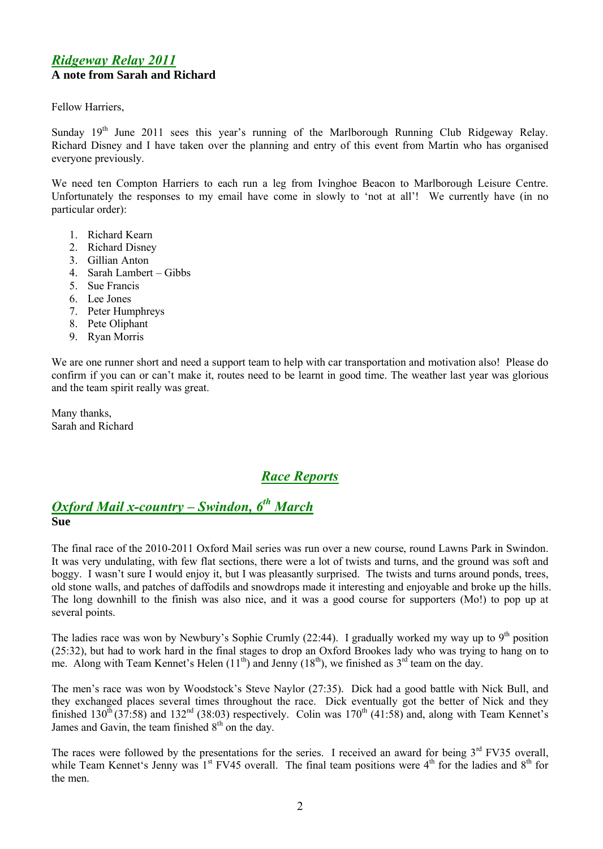### *Ridgeway Relay 2011* **A note from Sarah and Richard**

Fellow Harriers,

Sunday  $19<sup>th</sup>$  June 2011 sees this year's running of the Marlborough Running Club Ridgeway Relay. Richard Disney and I have taken over the planning and entry of this event from Martin who has organised everyone previously.

We need ten Compton Harriers to each run a leg from Ivinghoe Beacon to Marlborough Leisure Centre. Unfortunately the responses to my email have come in slowly to 'not at all'! We currently have (in no particular order):

- 1. Richard Kearn
- 2. Richard Disney
- 3. Gillian Anton
- 4. Sarah Lambert Gibbs
- 5. Sue Francis
- 6. Lee Jones
- 7. Peter Humphreys
- 8. Pete Oliphant
- 9. Ryan Morris

We are one runner short and need a support team to help with car transportation and motivation also! Please do confirm if you can or can't make it, routes need to be learnt in good time. The weather last year was glorious and the team spirit really was great.

Many thanks, Sarah and Richard

# *Race Reports*

# *Oxford Mail x-country – Swindon, 6 th March*

#### **Sue**

The final race of the 2010-2011 Oxford Mail series was run over a new course, round Lawns Park in Swindon. It was very undulating, with few flat sections, there were a lot of twists and turns, and the ground was soft and boggy. I wasn't sure I would enjoy it, but I was pleasantly surprised. The twists and turns around ponds, trees, old stone walls, and patches of daffodils and snowdrops made it interesting and enjoyable and broke up the hills. The long downhill to the finish was also nice, and it was a good course for supporters (Mo!) to pop up at several points.

The ladies race was won by Newbury's Sophie Crumly  $(22:44)$ . I gradually worked my way up to 9<sup>th</sup> position (25:32), but had to work hard in the final stages to drop an Oxford Brookes lady who was trying to hang on to me. Along with Team Kennet's Helen  $(11<sup>th</sup>)$  and Jenny  $(18<sup>th</sup>)$ , we finished as  $3<sup>rd</sup>$  team on the day.

The men's race was won by Woodstock's Steve Naylor (27:35). Dick had a good battle with Nick Bull, and they exchanged places several times throughout the race. Dick eventually got the better of Nick and they finished  $130<sup>th</sup> (37:58)$  and  $132<sup>nd</sup> (38:03)$  respectively. Colin was  $170<sup>th</sup> (41:58)$  and, along with Team Kennet's James and Gavin, the team finished 8<sup>th</sup> on the day.

The races were followed by the presentations for the series. I received an award for being  $3<sup>rd</sup>$  FV35 overall, while Team Kennet's Jenny was  $1<sup>st</sup>$  FV45 overall. The final team positions were  $4<sup>th</sup>$  for the ladies and  $8<sup>th</sup>$  for the men.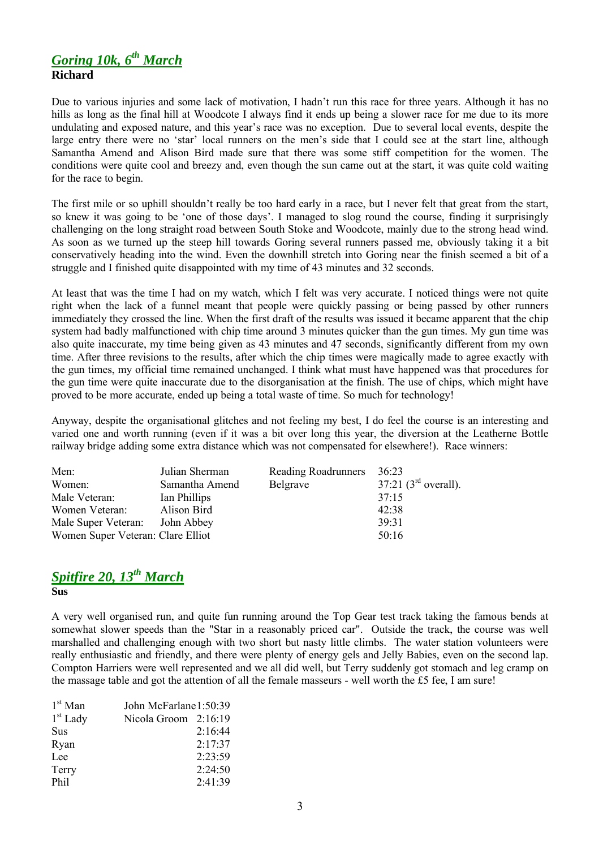### *Goring 10k, 6 th March*  **Richard**

Due to various injuries and some lack of motivation, I hadn't run this race for three years. Although it has no hills as long as the final hill at Woodcote I always find it ends up being a slower race for me due to its more undulating and exposed nature, and this year's race was no exception. Due to several local events, despite the large entry there were no 'star' local runners on the men's side that I could see at the start line, although Samantha Amend and Alison Bird made sure that there was some stiff competition for the women. The conditions were quite cool and breezy and, even though the sun came out at the start, it was quite cold waiting for the race to begin.

The first mile or so uphill shouldn't really be too hard early in a race, but I never felt that great from the start, so knew it was going to be 'one of those days'. I managed to slog round the course, finding it surprisingly challenging on the long straight road between South Stoke and Woodcote, mainly due to the strong head wind. As soon as we turned up the steep hill towards Goring several runners passed me, obviously taking it a bit conservatively heading into the wind. Even the downhill stretch into Goring near the finish seemed a bit of a struggle and I finished quite disappointed with my time of 43 minutes and 32 seconds.

At least that was the time I had on my watch, which I felt was very accurate. I noticed things were not quite right when the lack of a funnel meant that people were quickly passing or being passed by other runners immediately they crossed the line. When the first draft of the results was issued it became apparent that the chip system had badly malfunctioned with chip time around 3 minutes quicker than the gun times. My gun time was also quite inaccurate, my time being given as 43 minutes and 47 seconds, significantly different from my own time. After three revisions to the results, after which the chip times were magically made to agree exactly with the gun times, my official time remained unchanged. I think what must have happened was that procedures for the gun time were quite inaccurate due to the disorganisation at the finish. The use of chips, which might have proved to be more accurate, ended up being a total waste of time. So much for technology!

Anyway, despite the organisational glitches and not feeling my best, I do feel the course is an interesting and varied one and worth running (even if it was a bit over long this year, the diversion at the Leatherne Bottle railway bridge adding some extra distance which was not compensated for elsewhere!). Race winners:

| Men:                              | Julian Sherman | Reading Roadrunners | 36:23                              |
|-----------------------------------|----------------|---------------------|------------------------------------|
| Women:                            | Samantha Amend | Belgrave            | $37:21$ (3 <sup>rd</sup> overall). |
| Male Veteran:                     | Ian Phillips   |                     | 37:15                              |
| Women Veteran:                    | Alison Bird    |                     | 42:38                              |
| Male Super Veteran:               | John Abbey     |                     | 39:31                              |
| Women Super Veteran: Clare Elliot |                |                     | 50:16                              |

# *Spitfire 20, 13th March*

**Sus**

A very well organised run, and quite fun running around the Top Gear test track taking the famous bends at somewhat slower speeds than the "Star in a reasonably priced car". Outside the track, the course was well marshalled and challenging enough with two short but nasty little climbs. The water station volunteers were really enthusiastic and friendly, and there were plenty of energy gels and Jelly Babies, even on the second lap. Compton Harriers were well represented and we all did well, but Terry suddenly got stomach and leg cramp on the massage table and got the attention of all the female masseurs - well worth the É5 fee, I am sure!

| $1st$ Man  | John McFarlane 1:50:39 |         |
|------------|------------------------|---------|
| $1st$ Lady | Nicola Groom 2:16:19   |         |
| Sus        |                        | 2:16:44 |
| Ryan       |                        | 2:17:37 |
| Lee        |                        | 2:23:59 |
| Terry      |                        | 2:24:50 |
| Phil       |                        | 2:41:39 |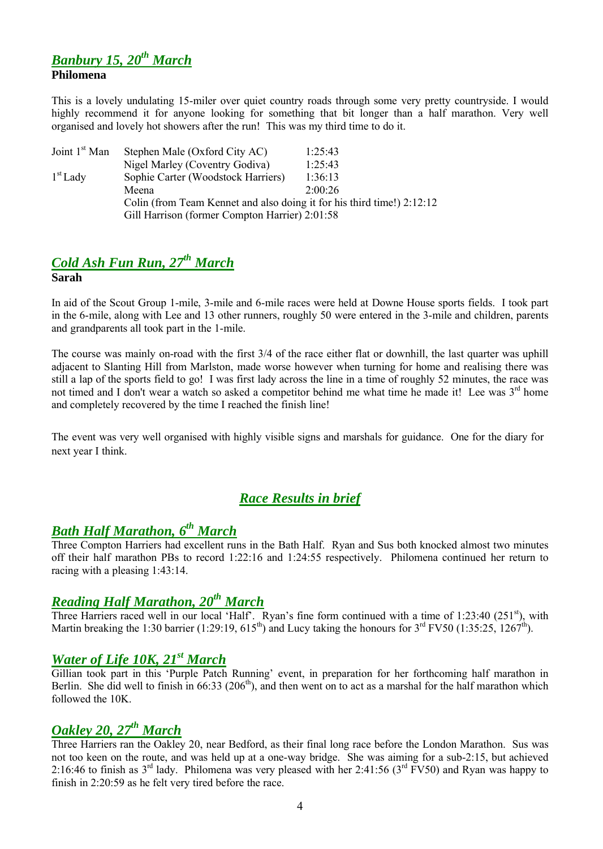### *Banbury 15, 20th March* **Philomena**

This is a lovely undulating 15-miler over quiet country roads through some very pretty countryside. I would highly recommend it for anyone looking for something that bit longer than a half marathon. Very well organised and lovely hot showers after the run! This was my third time to do it.

| Joint 1 <sup>st</sup> Man | Stephen Male (Oxford City AC)                                          | 1:25:43 |
|---------------------------|------------------------------------------------------------------------|---------|
|                           | Nigel Marley (Coventry Godiva)                                         | 1:25:43 |
| $1st$ Lady                | Sophie Carter (Woodstock Harriers)                                     | 1:36:13 |
|                           | Meena                                                                  | 2.00.26 |
|                           | Colin (from Team Kennet and also doing it for his third time!) 2:12:12 |         |
|                           | Gill Harrison (former Compton Harrier) 2:01:58                         |         |

# *Cold Ash Fun Run, 27th March*

#### **Sarah**

In aid of the Scout Group 1-mile, 3-mile and 6-mile races were held at Downe House sports fields. I took part in the 6-mile, along with Lee and 13 other runners, roughly 50 were entered in the 3-mile and children, parents and grandparents all took part in the 1-mile.

The course was mainly on-road with the first 3/4 of the race either flat or downhill, the last quarter was uphill adjacent to Slanting Hill from Marlston, made worse however when turning for home and realising there was still a lap of the sports field to go! I was first lady across the line in a time of roughly 52 minutes, the race was not timed and I don't wear a watch so asked a competitor behind me what time he made it! Lee was 3<sup>rd</sup> home and completely recovered by the time I reached the finish line!

The event was very well organised with highly visible signs and marshals for guidance. One for the diary for next year I think.

# *Race Results in brief*

# *Bath Half Marathon, 6 th March*

Three Compton Harriers had excellent runs in the Bath Half. Ryan and Sus both knocked almost two minutes off their half marathon PBs to record 1:22:16 and 1:24:55 respectively. Philomena continued her return to racing with a pleasing 1:43:14.

# *Reading Half Marathon, 20th March*

Three Harriers raced well in our local 'Half'. Ryan's fine form continued with a time of 1:23:40 (251<sup>st</sup>), with Martin breaking the 1:30 barrier (1:29:19,  $615^{th}$ ) and Lucy taking the honours for  $3^{rd}$  FV50 (1:35:25, 1267<sup>th</sup>).

# *Water of Life 10K, 21st March*

Gillian took part in this 'Purple Patch Running' event, in preparation for her forthcoming half marathon in Berlin. She did well to finish in  $66:33$  ( $206<sup>th</sup>$ ), and then went on to act as a marshal for the half marathon which followed the 10K.

# *Oakley 20, 27th March*

Three Harriers ran the Oakley 20, near Bedford, as their final long race before the London Marathon. Sus was not too keen on the route, and was held up at a one-way bridge. She was aiming for a sub-2:15, but achieved 2:16:46 to finish as  $3<sup>rd</sup>$  lady. Philomena was very pleased with her 2:41:56 ( $3<sup>rd</sup>$  FV50) and Ryan was happy to finish in 2:20:59 as he felt very tired before the race.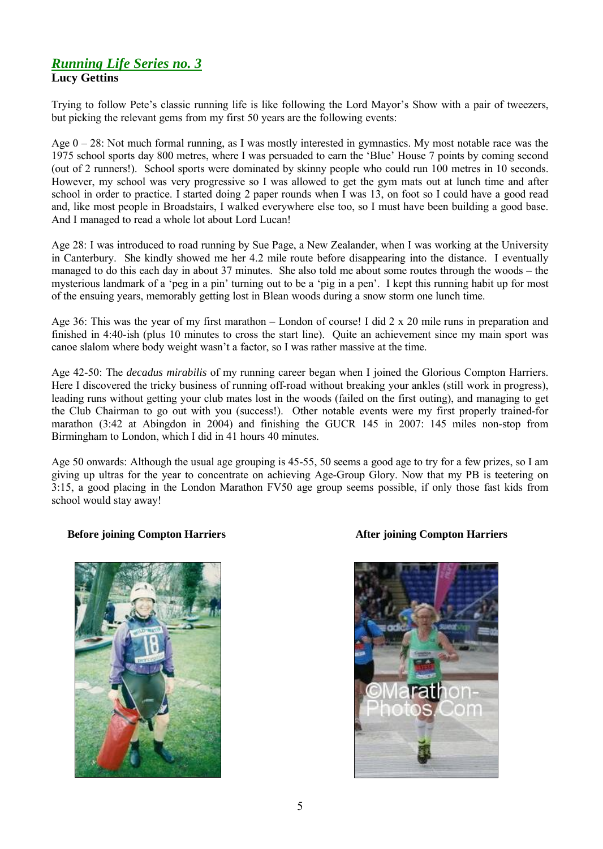### *Running Life Series no. 3* **Lucy Gettins**

Trying to follow Pete's classic running life is like following the Lord Mayor's Show with a pair of tweezers, but picking the relevant gems from my first 50 years are the following events:

Age  $0 - 28$ : Not much formal running, as I was mostly interested in gymnastics. My most notable race was the 1975 school sports day 800 metres, where I was persuaded to earn the 'Blue' House 7 points by coming second (out of 2 runners!). School sports were dominated by skinny people who could run 100 metres in 10 seconds. However, my school was very progressive so I was allowed to get the gym mats out at lunch time and after school in order to practice. I started doing 2 paper rounds when I was 13, on foot so I could have a good read and, like most people in Broadstairs, I walked everywhere else too, so I must have been building a good base. And I managed to read a whole lot about Lord Lucan!

Age 28: I was introduced to road running by Sue Page, a New Zealander, when I was working at the University in Canterbury. She kindly showed me her 4.2 mile route before disappearing into the distance. I eventually managed to do this each day in about 37 minutes. She also told me about some routes through the woods – the mysterious landmark of a 'peg in a pin' turning out to be a 'pig in a pen'. I kept this running habit up for most of the ensuing years, memorably getting lost in Blean woods during a snow storm one lunch time.

Age 36: This was the year of my first marathon – London of course! I did 2 x 20 mile runs in preparation and finished in 4:40-ish (plus 10 minutes to cross the start line). Quite an achievement since my main sport was canoe slalom where body weight wasn't a factor, so I was rather massive at the time.

Age 42-50: The *decadus mirabilis* of my running career began when I joined the Glorious Compton Harriers. Here I discovered the tricky business of running off-road without breaking your ankles (still work in progress), leading runs without getting your club mates lost in the woods (failed on the first outing), and managing to get the Club Chairman to go out with you (success!). Other notable events were my first properly trained-for marathon (3:42 at Abingdon in 2004) and finishing the GUCR 145 in 2007: 145 miles non-stop from Birmingham to London, which I did in 41 hours 40 minutes.

Age 50 onwards: Although the usual age grouping is 45-55, 50 seems a good age to try for a few prizes, so I am giving up ultras for the year to concentrate on achieving Age-Group Glory. Now that my PB is teetering on 3:15, a good placing in the London Marathon FV50 age group seems possible, if only those fast kids from school would stay away!

#### **Before joining Compton Harriers After joining Compton Harriers**



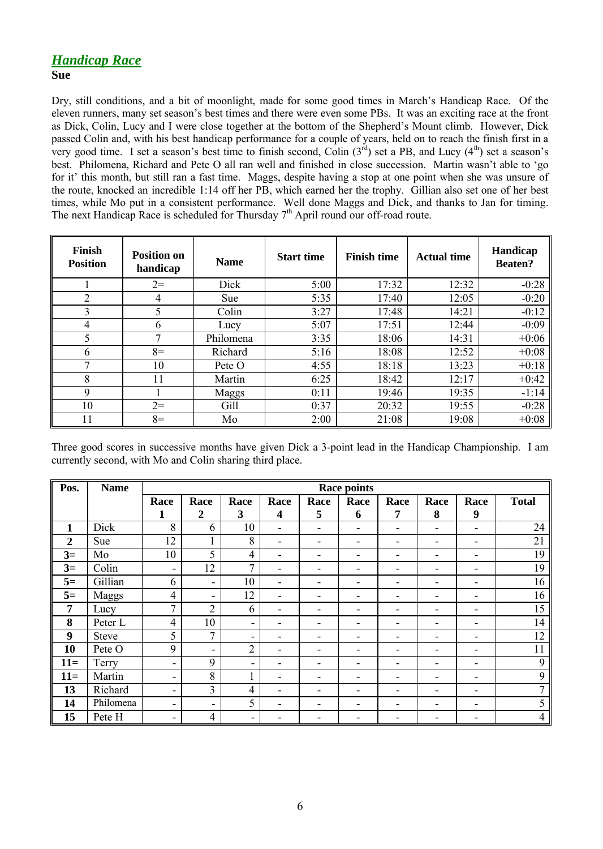#### **Sue**

Dry, still conditions, and a bit of moonlight, made for some good times in March's Handicap Race. Of the eleven runners, many set season's best times and there were even some PBs. It was an exciting race at the front as Dick, Colin, Lucy and I were close together at the bottom of the Shepherd's Mount climb. However, Dick passed Colin and, with his best handicap performance for a couple of years, held on to reach the finish first in a very good time. I set a season's best time to finish second, Colin  $(3^{rd})$  set a PB, and Lucy  $(4^{th})$  set a season's best. Philomena, Richard and Pete O all ran well and finished in close succession. Martin wasn't able to 'go for it' this month, but still ran a fast time. Maggs, despite having a stop at one point when she was unsure of the route, knocked an incredible 1:14 off her PB, which earned her the trophy. Gillian also set one of her best times, while Mo put in a consistent performance. Well done Maggs and Dick, and thanks to Jan for timing. The next Handicap Race is scheduled for Thursday  $7<sup>th</sup>$  April round our off-road route.

| Finish<br><b>Position</b> | <b>Position on</b><br>handicap | <b>Name</b> | <b>Start time</b> | <b>Finish time</b> | <b>Actual time</b> | <b>Handicap</b><br><b>Beaten?</b> |
|---------------------------|--------------------------------|-------------|-------------------|--------------------|--------------------|-----------------------------------|
|                           | $2=$                           | Dick        | 5:00              | 17:32              | 12:32              | $-0:28$                           |
| $\overline{2}$            | $\overline{4}$                 | <b>Sue</b>  | 5:35              | 17:40              | 12:05              | $-0:20$                           |
| 3                         | 5                              | Colin       | 3:27              | 17:48              | 14:21              | $-0:12$                           |
| 4                         | 6                              | Lucy        | 5:07              | 17:51              | 12:44              | $-0:09$                           |
| 5                         | 7                              | Philomena   | 3:35              | 18:06              | 14:31              | $+0:06$                           |
| 6                         | $8=$                           | Richard     | 5:16              | 18:08              | 12:52              | $+0:08$                           |
| 7                         | 10                             | Pete O      | 4:55              | 18:18              | 13:23              | $+0:18$                           |
| 8                         | 11                             | Martin      | 6:25              | 18:42              | 12:17              | $+0:42$                           |
| 9                         |                                | Maggs       | 0:11              | 19:46              | 19:35              | $-1:14$                           |
| 10                        | $2=$                           | Gill        | 0:37              | 20:32              | 19:55              | $-0:28$                           |
| 11                        | $8=$                           | Mo          | 2:00              | 21:08              | 19:08              | $+0:08$                           |

Three good scores in successive months have given Dick a 3-point lead in the Handicap Championship. I am currently second, with Mo and Colin sharing third place.

| Pos.           | <b>Name</b>  | <b>Race points</b>           |                          |                          |                          |                          |                          |                          |                          |      |                |
|----------------|--------------|------------------------------|--------------------------|--------------------------|--------------------------|--------------------------|--------------------------|--------------------------|--------------------------|------|----------------|
|                |              | Race                         | Race                     | Race                     | Race                     | Race                     | Race                     | Race                     | Race                     | Race | <b>Total</b>   |
|                |              | 1                            | $\overline{2}$           | 3                        | 4                        | 5                        | 6                        | 7                        | 8                        | 9    |                |
| $\mathbf{1}$   | Dick         | 8                            | 6                        | 10                       | $\overline{\phantom{a}}$ | $\overline{\phantom{a}}$ | $\overline{\phantom{0}}$ | $\overline{\phantom{0}}$ | $\overline{\phantom{0}}$ | ٠    | 24             |
| $\overline{2}$ | Sue          | 12                           | 1                        | 8                        | $\overline{\phantom{a}}$ | -                        | ۰                        |                          | $\overline{\phantom{0}}$ | ۰    | 21             |
| $3=$           | Mo           | 10                           | 5                        | $\overline{4}$           | ۰                        | $\overline{\phantom{0}}$ | -                        |                          | $\overline{\phantom{0}}$ | ٠    | 19             |
| $3=$           | Colin        | $\overline{\phantom{a}}$     | 12                       | $\overline{7}$           | ۰                        |                          | -                        |                          | $\overline{\phantom{0}}$ | ۰    | 19             |
| $5=$           | Gillian      | 6                            | $\overline{\phantom{a}}$ | 10                       | $\overline{\phantom{0}}$ |                          |                          |                          |                          | ۰    | 16             |
| $5=$           | Maggs        | $\overline{4}$               | $\overline{\phantom{a}}$ | 12                       | ۰                        |                          |                          |                          |                          | ۰    | 16             |
| 7              | Lucy         | $\overline{7}$               | $\overline{2}$           | 6                        | ۰                        | -                        | ۰                        |                          | -                        | ۰    | 15             |
| 8              | Peter L      | $\overline{4}$               | 10                       | $\overline{\phantom{a}}$ | ٠                        | $\overline{\phantom{0}}$ | ۰                        |                          | $\overline{\phantom{0}}$ | ۰    | 14             |
| 9              | <b>Steve</b> | 5                            | $\overline{7}$           | ٠                        | -                        | $\overline{\phantom{0}}$ | $\overline{\phantom{0}}$ | $\overline{\phantom{0}}$ | $\overline{\phantom{0}}$ | ٠    | 12             |
| 10             | Pete O       | 9                            | $\overline{\phantom{0}}$ | $\overline{2}$           | $\overline{\phantom{a}}$ | -                        | ۰                        | -                        | ۰                        | ۰    | 11             |
| $11=$          | Terry        | ۰                            | 9                        | $\blacksquare$           |                          |                          |                          |                          |                          | ۰    | 9              |
| $11=$          | Martin       | ٠                            | $8\,$                    |                          | -                        |                          |                          |                          |                          | ۰    | 9              |
| 13             | Richard      | -                            | $\overline{3}$           | $\overline{4}$           | ٠                        |                          |                          |                          |                          | ۰    | 7              |
| 14             | Philomena    | $\qquad \qquad \blacksquare$ | ۰                        | 5                        |                          |                          |                          |                          |                          | ٠    | 5              |
| 15             | Pete H       | -                            | $\overline{4}$           | ۰                        |                          |                          |                          |                          |                          |      | $\overline{4}$ |